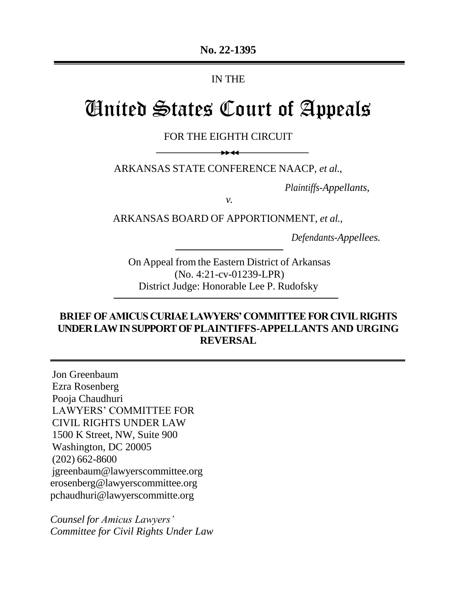# IN THE

# United States Court of Appeals

FOR THE EIGHTH CIRCUIT

ARKANSAS STATE CONFERENCE NAACP, *et al.*,

 $++44$ 

*Plaintiffs-Appellants*,

*v.*

ARKANSAS BOARD OF APPORTIONMENT, *et al.*,

*Defendants-Appellees.*

On Appeal from the Eastern District of Arkansas (No. 4:21-cv-01239-LPR) District Judge: Honorable Lee P. Rudofsky

# **BRIEF OF AMICUS CURIAE LAWYERS' COMMITTEE FOR CIVIL RIGHTS UNDER LAW IN SUPPORT OF PLAINTIFFS-APPELLANTS AND URGING REVERSAL**

Jon Greenbaum Ezra Rosenberg Pooja Chaudhuri LAWYERS' COMMITTEE FOR CIVIL RIGHTS UNDER LAW 1500 K Street, NW, Suite 900 Washington, DC 20005 (202) 662-8600 [jgreenbaum@lawyerscommittee.org](mailto:jgreenbaum@lawyerscommittee.org) [erosenberg@lawyerscommittee.org](mailto:erosenberg@lawyerscommittee.org) [pchaudhuri@lawyerscommitte.org](mailto:pchaudhuri@lawyerscommitte.org)

*Counsel for Amicus Lawyers' Committee for Civil Rights Under Law*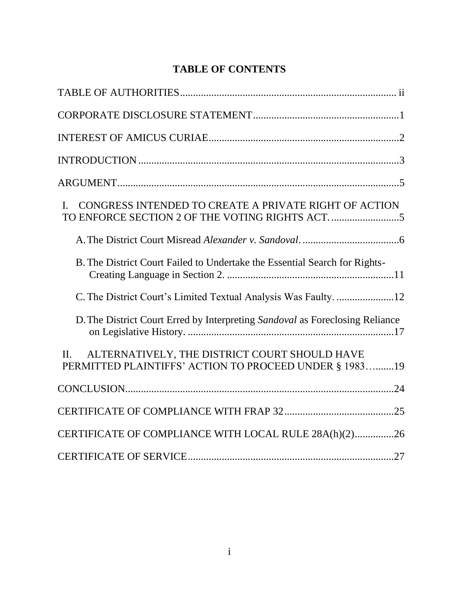# **TABLE OF CONTENTS**

| CONGRESS INTENDED TO CREATE A PRIVATE RIGHT OF ACTION<br>$\mathbf{I}$                                              |
|--------------------------------------------------------------------------------------------------------------------|
|                                                                                                                    |
| B. The District Court Failed to Undertake the Essential Search for Rights-                                         |
|                                                                                                                    |
| D. The District Court Erred by Interpreting Sandoval as Foreclosing Reliance                                       |
| ALTERNATIVELY, THE DISTRICT COURT SHOULD HAVE<br>$\Pi$ .<br>PERMITTED PLAINTIFFS' ACTION TO PROCEED UNDER § 198319 |
|                                                                                                                    |
|                                                                                                                    |
| CERTIFICATE OF COMPLIANCE WITH LOCAL RULE 28A(h)(2)26                                                              |
|                                                                                                                    |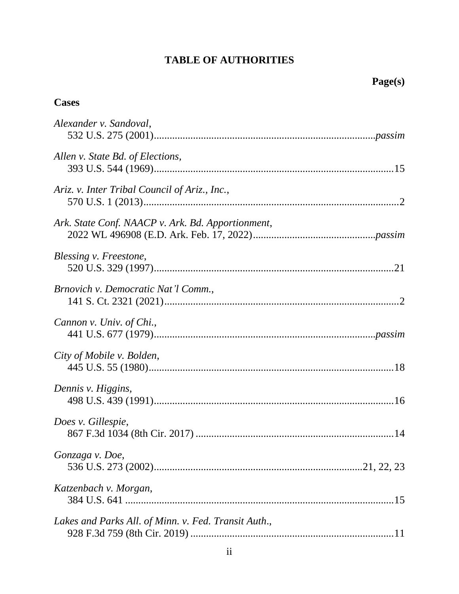# **TABLE OF AUTHORITIES**

# <span id="page-2-0"></span>**Cases**

| Alexander v. Sandoval,                               |
|------------------------------------------------------|
| Allen v. State Bd. of Elections,                     |
| Ariz. v. Inter Tribal Council of Ariz., Inc.,        |
| Ark. State Conf. NAACP v. Ark. Bd. Apportionment,    |
| Blessing v. Freestone,                               |
| Brnovich v. Democratic Nat'l Comm.,                  |
| Cannon v. Univ. of Chi.,                             |
| City of Mobile v. Bolden,                            |
| Dennis v. Higgins,                                   |
| Does v. Gillespie,                                   |
| Gonzaga v. Doe,                                      |
| Katzenbach v. Morgan,                                |
| Lakes and Parks All. of Minn. v. Fed. Transit Auth., |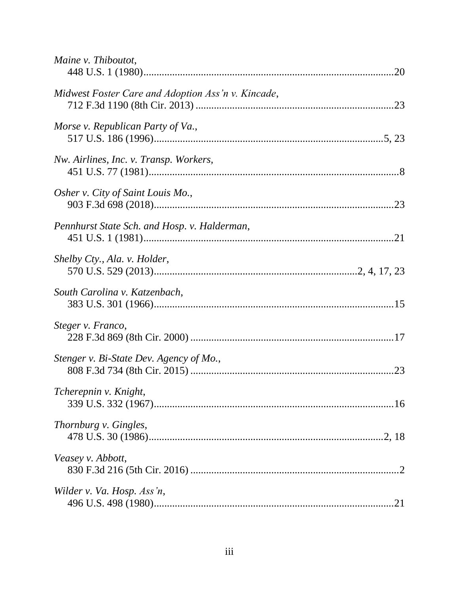| Maine v. Thiboutot,                                |  |
|----------------------------------------------------|--|
| Midwest Foster Care and Adoption Ass'n v. Kincade, |  |
| Morse v. Republican Party of Va.,                  |  |
| Nw. Airlines, Inc. v. Transp. Workers,             |  |
| Osher v. City of Saint Louis Mo.,                  |  |
| Pennhurst State Sch. and Hosp. v. Halderman,       |  |
| Shelby Cty., Ala. v. Holder,                       |  |
| South Carolina v. Katzenbach,                      |  |
| Steger v. Franco,                                  |  |
| Stenger v. Bi-State Dev. Agency of Mo.,            |  |
| Tcherepnin v. Knight,                              |  |
| Thornburg v. Gingles,                              |  |
| Veasey v. Abbott,                                  |  |
| Wilder v. Va. Hosp. Ass'n,                         |  |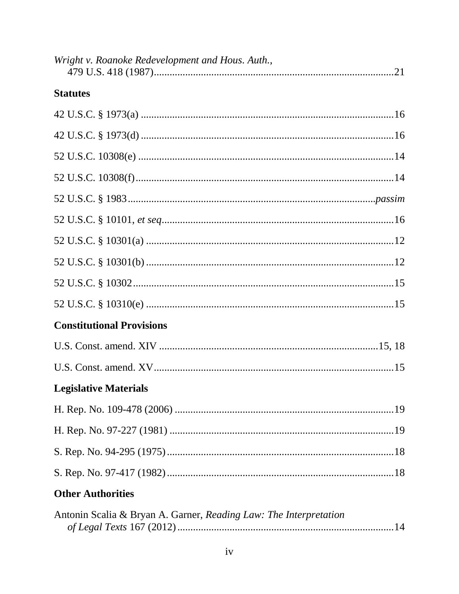| Wright v. Roanoke Redevelopment and Hous. Auth.,                  |  |
|-------------------------------------------------------------------|--|
| <b>Statutes</b>                                                   |  |
|                                                                   |  |
|                                                                   |  |
|                                                                   |  |
|                                                                   |  |
|                                                                   |  |
|                                                                   |  |
|                                                                   |  |
|                                                                   |  |
|                                                                   |  |
|                                                                   |  |
| <b>Constitutional Provisions</b>                                  |  |
|                                                                   |  |
|                                                                   |  |
| <b>Legislative Materials</b>                                      |  |
|                                                                   |  |
|                                                                   |  |
|                                                                   |  |
|                                                                   |  |
| <b>Other Authorities</b>                                          |  |
| Antonin Scalia & Bryan A. Garner, Reading Law: The Interpretation |  |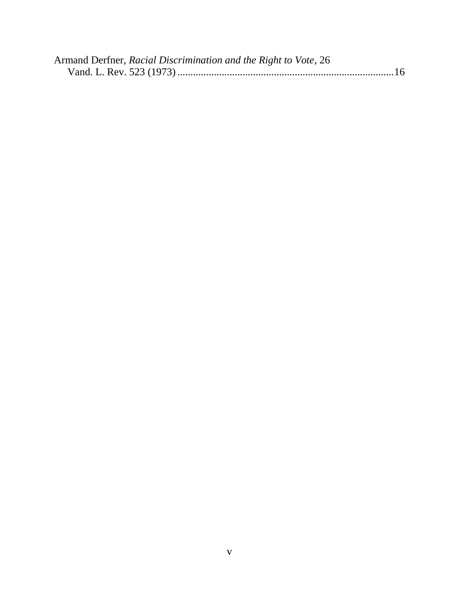| Armand Derfner, Racial Discrimination and the Right to Vote, 26 |  |
|-----------------------------------------------------------------|--|
|                                                                 |  |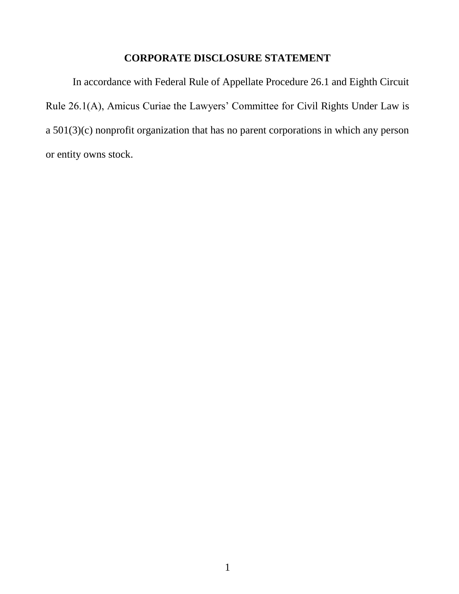## **CORPORATE DISCLOSURE STATEMENT**

<span id="page-6-0"></span>In accordance with Federal Rule of Appellate Procedure 26.1 and Eighth Circuit Rule 26.1(A), Amicus Curiae the Lawyers' Committee for Civil Rights Under Law is a 501(3)(c) nonprofit organization that has no parent corporations in which any person or entity owns stock.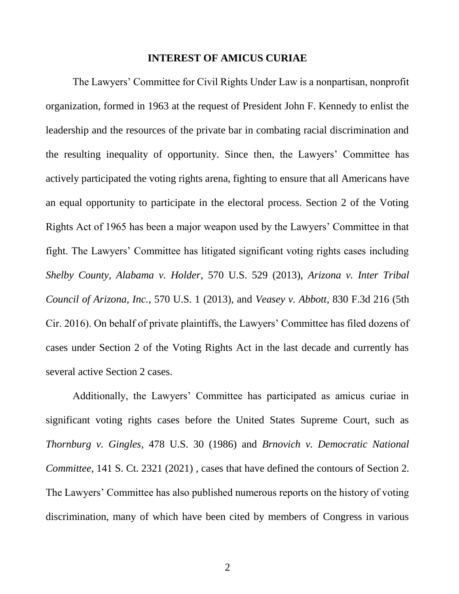#### <span id="page-7-1"></span>**INTEREST OF AMICUS CURIAE**

<span id="page-7-0"></span>The Lawyers' Committee for Civil Rights Under Law is a nonpartisan, nonprofit organization, formed in 1963 at the request of President John F. Kennedy to enlist the leadership and the resources of the private bar in combating racial discrimination and the resulting inequality of opportunity. Since then, the Lawyers' Committee has actively participated the voting rights arena, fighting to ensure that all Americans have an equal opportunity to participate in the electoral process. Section 2 of the Voting Rights Act of 1965 has been a major weapon used by the Lawyers' Committee in that fight. The Lawyers' Committee has litigated significant voting rights cases including *Shelby County, Alabama v. Holder*, 570 U.S. 529 (2013), *Arizona v. Inter Tribal Council of Arizona, Inc.*, 570 U.S. 1 (2013), and *Veasey v. Abbott*, 830 F.3d 216 (5th Cir. 2016). On behalf of private plaintiffs, the Lawyers' Committee has filed dozens of cases under Section 2 of the Voting Rights Act in the last decade and currently has several active Section 2 cases.

<span id="page-7-5"></span><span id="page-7-4"></span><span id="page-7-3"></span><span id="page-7-2"></span>Additionally, the Lawyers' Committee has participated as amicus curiae in significant voting rights cases before the United States Supreme Court, such as *Thornburg v. Gingles*, 478 U.S. 30 (1986) and *Brnovich v. Democratic National Committee*, 141 S. Ct. 2321 (2021) *,* cases that have defined the contours of Section 2. The Lawyers' Committee has also published numerous reports on the history of voting discrimination, many of which have been cited by members of Congress in various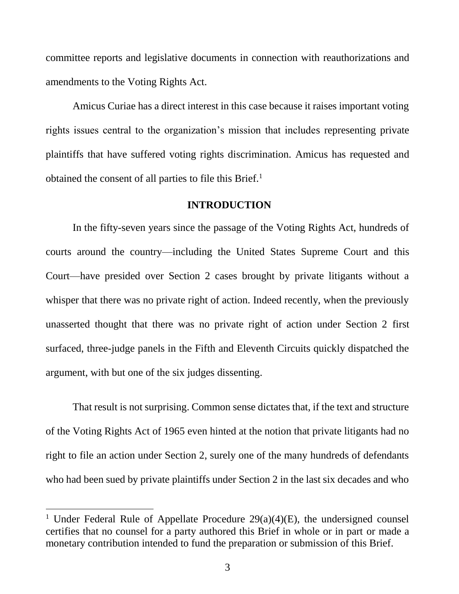committee reports and legislative documents in connection with reauthorizations and amendments to the Voting Rights Act.

Amicus Curiae has a direct interest in this case because it raises important voting rights issues central to the organization's mission that includes representing private plaintiffs that have suffered voting rights discrimination. Amicus has requested and obtained the consent of all parties to file this Brief.<sup>1</sup>

#### **INTRODUCTION**

<span id="page-8-0"></span>In the fifty-seven years since the passage of the Voting Rights Act, hundreds of courts around the country—including the United States Supreme Court and this Court—have presided over Section 2 cases brought by private litigants without a whisper that there was no private right of action. Indeed recently, when the previously unasserted thought that there was no private right of action under Section 2 first surfaced, three-judge panels in the Fifth and Eleventh Circuits quickly dispatched the argument, with but one of the six judges dissenting.

That result is not surprising. Common sense dictates that, if the text and structure of the Voting Rights Act of 1965 even hinted at the notion that private litigants had no right to file an action under Section 2, surely one of the many hundreds of defendants who had been sued by private plaintiffs under Section 2 in the last six decades and who

l

<sup>&</sup>lt;sup>1</sup> Under Federal Rule of Appellate Procedure  $29(a)(4)(E)$ , the undersigned counsel certifies that no counsel for a party authored this Brief in whole or in part or made a monetary contribution intended to fund the preparation or submission of this Brief.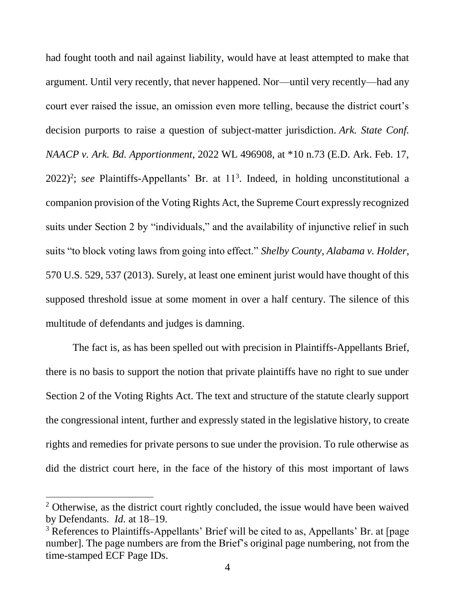<span id="page-9-0"></span>had fought tooth and nail against liability, would have at least attempted to make that argument. Until very recently, that never happened. Nor—until very recently—had any court ever raised the issue, an omission even more telling, because the district court's decision purports to raise a question of subject-matter jurisdiction. *Ark. State Conf. NAACP v. Ark. Bd. Apportionment*, 2022 WL 496908, at \*10 n.73 (E.D. Ark. Feb. 17,  $2022$ <sup>2</sup>; *see* Plaintiffs-Appellants' Br. at  $11<sup>3</sup>$ . Indeed, in holding unconstitutional a companion provision of the Voting Rights Act, the Supreme Court expressly recognized suits under Section 2 by "individuals," and the availability of injunctive relief in such suits "to block voting laws from going into effect." *Shelby County, Alabama v. Holder*, 570 U.S. 529, 537 (2013). Surely, at least one eminent jurist would have thought of this supposed threshold issue at some moment in over a half century. The silence of this multitude of defendants and judges is damning.

<span id="page-9-1"></span>The fact is, as has been spelled out with precision in Plaintiffs-Appellants Brief, there is no basis to support the notion that private plaintiffs have no right to sue under Section 2 of the Voting Rights Act. The text and structure of the statute clearly support the congressional intent, further and expressly stated in the legislative history, to create rights and remedies for private persons to sue under the provision. To rule otherwise as did the district court here, in the face of the history of this most important of laws

 $\overline{a}$ 

<sup>&</sup>lt;sup>2</sup> Otherwise, as the district court rightly concluded, the issue would have been waived by Defendants. *Id.* at 18–19.

<sup>&</sup>lt;sup>3</sup> References to Plaintiffs-Appellants' Brief will be cited to as, Appellants' Br. at [page number]. The page numbers are from the Brief's original page numbering, not from the time-stamped ECF Page IDs.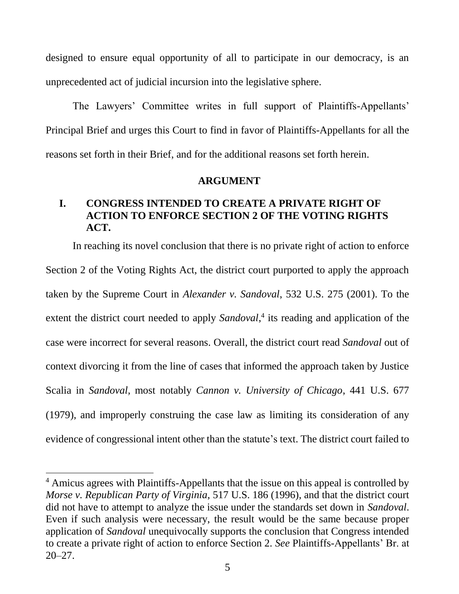designed to ensure equal opportunity of all to participate in our democracy, is an unprecedented act of judicial incursion into the legislative sphere.

The Lawyers' Committee writes in full support of Plaintiffs-Appellants' Principal Brief and urges this Court to find in favor of Plaintiffs-Appellants for all the reasons set forth in their Brief, and for the additional reasons set forth herein.

#### <span id="page-10-2"></span>**ARGUMENT**

# <span id="page-10-1"></span><span id="page-10-0"></span>**I. CONGRESS INTENDED TO CREATE A PRIVATE RIGHT OF ACTION TO ENFORCE SECTION 2 OF THE VOTING RIGHTS ACT.**

In reaching its novel conclusion that there is no private right of action to enforce Section 2 of the Voting Rights Act, the district court purported to apply the approach taken by the Supreme Court in *Alexander v. Sandoval*, 532 U.S. 275 (2001). To the extent the district court needed to apply Sandoval,<sup>4</sup> its reading and application of the case were incorrect for several reasons. Overall, the district court read *Sandoval* out of context divorcing it from the line of cases that informed the approach taken by Justice Scalia in *Sandoval,* most notably *Cannon v. University of Chicago*, 441 U.S. 677 (1979), and improperly construing the case law as limiting its consideration of any evidence of congressional intent other than the statute's text. The district court failed to

<span id="page-10-3"></span> $\overline{a}$ 

<span id="page-10-4"></span><sup>&</sup>lt;sup>4</sup> Amicus agrees with Plaintiffs-Appellants that the issue on this appeal is controlled by *Morse v. Republican Party of Virginia*, 517 U.S. 186 (1996), and that the district court did not have to attempt to analyze the issue under the standards set down in *Sandoval*. Even if such analysis were necessary, the result would be the same because proper application of *Sandoval* unequivocally supports the conclusion that Congress intended to create a private right of action to enforce Section 2. *See* Plaintiffs-Appellants' Br. at 20–27.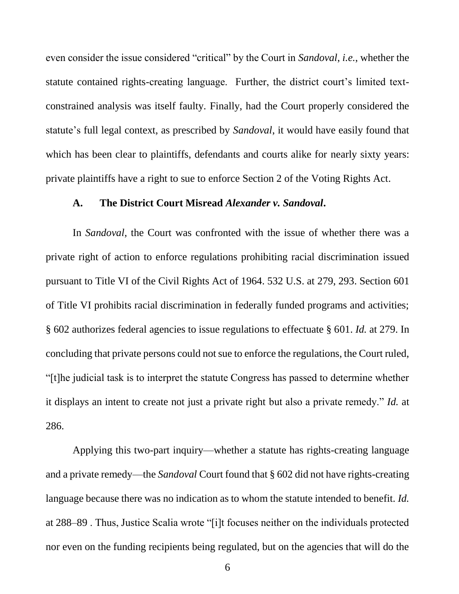even consider the issue considered "critical" by the Court in *Sandoval*, *i.e.*, whether the statute contained rights-creating language. Further, the district court's limited textconstrained analysis was itself faulty. Finally, had the Court properly considered the statute's full legal context, as prescribed by *Sandoval*, it would have easily found that which has been clear to plaintiffs, defendants and courts alike for nearly sixty years: private plaintiffs have a right to sue to enforce Section 2 of the Voting Rights Act.

#### <span id="page-11-0"></span>**A. The District Court Misread** *Alexander v. Sandoval***.**

In *Sandoval*, the Court was confronted with the issue of whether there was a private right of action to enforce regulations prohibiting racial discrimination issued pursuant to Title VI of the Civil Rights Act of 1964. 532 U.S. at 279, 293. Section 601 of Title VI prohibits racial discrimination in federally funded programs and activities; § 602 authorizes federal agencies to issue regulations to effectuate § 601. *Id.* at 279. In concluding that private persons could not sue to enforce the regulations, the Court ruled, "[t]he judicial task is to interpret the statute Congress has passed to determine whether it displays an intent to create not just a private right but also a private remedy." *Id.* at 286.

Applying this two-part inquiry—whether a statute has rights-creating language and a private remedy—the *Sandoval* Court found that § 602 did not have rights-creating language because there was no indication as to whom the statute intended to benefit*. Id.* at 288–89 . Thus, Justice Scalia wrote "[i]t focuses neither on the individuals protected nor even on the funding recipients being regulated, but on the agencies that will do the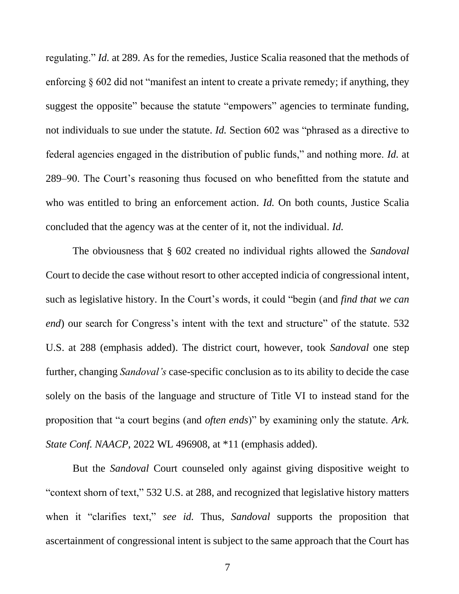regulating." *Id.* at 289. As for the remedies, Justice Scalia reasoned that the methods of enforcing § 602 did not "manifest an intent to create a private remedy; if anything, they suggest the opposite" because the statute "empowers" agencies to terminate funding, not individuals to sue under the statute. *Id.* Section 602 was "phrased as a directive to federal agencies engaged in the distribution of public funds," and nothing more. *Id.* at 289–90. The Court's reasoning thus focused on who benefitted from the statute and who was entitled to bring an enforcement action. *Id.* On both counts, Justice Scalia concluded that the agency was at the center of it, not the individual. *Id.* 

The obviousness that § 602 created no individual rights allowed the *Sandoval*  Court to decide the case without resort to other accepted indicia of congressional intent, such as legislative history. In the Court's words, it could "begin (and *find that we can end*) our search for Congress's intent with the text and structure" of the statute. 532 U.S. at 288 (emphasis added). The district court, however, took *Sandoval* one step further, changing *Sandoval's* case-specific conclusion as to its ability to decide the case solely on the basis of the language and structure of Title VI to instead stand for the proposition that "a court begins (and *often ends*)" by examining only the statute. *Ark. State Conf. NAACP*, 2022 WL 496908, at \*11 (emphasis added).

But the *Sandoval* Court counseled only against giving dispositive weight to "context shorn of text," 532 U.S. at 288, and recognized that legislative history matters when it "clarifies text," *see id.* Thus, *Sandoval* supports the proposition that ascertainment of congressional intent is subject to the same approach that the Court has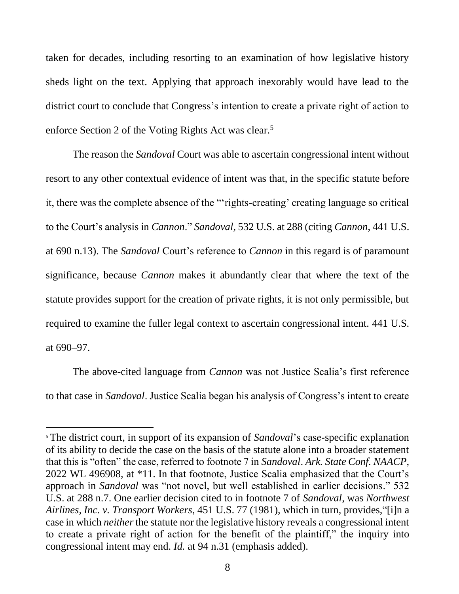taken for decades, including resorting to an examination of how legislative history sheds light on the text. Applying that approach inexorably would have lead to the district court to conclude that Congress's intention to create a private right of action to enforce Section 2 of the Voting Rights Act was clear.<sup>5</sup>

The reason the *Sandoval* Court was able to ascertain congressional intent without resort to any other contextual evidence of intent was that, in the specific statute before it, there was the complete absence of the "'rights-creating' creating language so critical to the Court's analysis in *Cannon*." *Sandoval*, 532 U.S. at 288 (citing *Cannon*, 441 U.S. at 690 n.13). The *Sandoval* Court's reference to *Cannon* in this regard is of paramount significance, because *Cannon* makes it abundantly clear that where the text of the statute provides support for the creation of private rights, it is not only permissible, but required to examine the fuller legal context to ascertain congressional intent. 441 U.S. at 690–97.

The above-cited language from *Cannon* was not Justice Scalia's first reference to that case in *Sandoval*. Justice Scalia began his analysis of Congress's intent to create

l

<sup>5</sup> The district court, in support of its expansion of *Sandoval*'s case-specific explanation of its ability to decide the case on the basis of the statute alone into a broader statement that this is "often" the case, referred to footnote 7 in *Sandoval*. *Ark. State Conf. NAACP*, 2022 WL 496908, at \*11. In that footnote, Justice Scalia emphasized that the Court's approach in *Sandoval* was "not novel, but well established in earlier decisions." 532 U.S. at 288 n.7. One earlier decision cited to in footnote 7 of *Sandoval*, was *Northwest Airlines, Inc. v. Transport Workers*, 451 U.S. 77 (1981), which in turn, provides,"[i]n a case in which *neither*the statute nor the legislative history reveals a congressional intent to create a private right of action for the benefit of the plaintiff," the inquiry into congressional intent may end. *Id.* at 94 n.31 (emphasis added).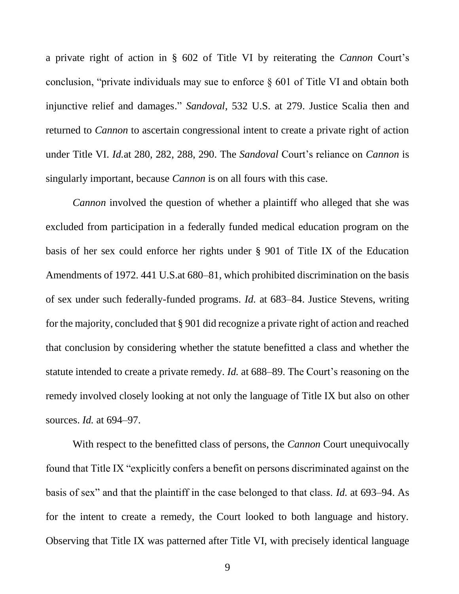a private right of action in § 602 of Title VI by reiterating the *Cannon* Court's conclusion, "private individuals may sue to enforce § 601 of Title VI and obtain both injunctive relief and damages." *Sandoval*, 532 U.S. at 279. Justice Scalia then and returned to *Cannon* to ascertain congressional intent to create a private right of action under Title VI. *Id.*at 280, 282, 288, 290. The *Sandoval* Court's reliance on *Cannon* is singularly important, because *Cannon* is on all fours with this case.

*Cannon* involved the question of whether a plaintiff who alleged that she was excluded from participation in a federally funded medical education program on the basis of her sex could enforce her rights under § 901 of Title IX of the Education Amendments of 1972. 441 U.S.at 680–81, which prohibited discrimination on the basis of sex under such federally-funded programs. *Id.* at 683–84. Justice Stevens, writing for the majority, concluded that § 901 did recognize a private right of action and reached that conclusion by considering whether the statute benefitted a class and whether the statute intended to create a private remedy. *Id.* at 688–89. The Court's reasoning on the remedy involved closely looking at not only the language of Title IX but also on other sources. *Id.* at 694–97.

With respect to the benefitted class of persons, the *Cannon* Court unequivocally found that Title IX "explicitly confers a benefit on persons discriminated against on the basis of sex" and that the plaintiff in the case belonged to that class. *Id.* at 693–94. As for the intent to create a remedy, the Court looked to both language and history. Observing that Title IX was patterned after Title VI, with precisely identical language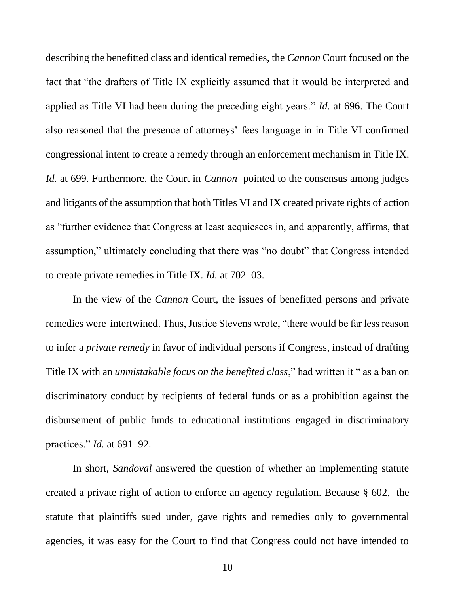describing the benefitted class and identical remedies, the *Cannon* Court focused on the fact that "the drafters of Title IX explicitly assumed that it would be interpreted and applied as Title VI had been during the preceding eight years." *Id.* at 696. The Court also reasoned that the presence of attorneys' fees language in in Title VI confirmed congressional intent to create a remedy through an enforcement mechanism in Title IX. *Id.* at 699. Furthermore, the Court in *Cannon* pointed to the consensus among judges and litigants of the assumption that both Titles VI and IX created private rights of action as "further evidence that Congress at least acquiesces in, and apparently, affirms, that assumption," ultimately concluding that there was "no doubt" that Congress intended to create private remedies in Title IX. *Id.* at 702–03.

In the view of the *Cannon* Court, the issues of benefitted persons and private remedies were intertwined. Thus, Justice Stevens wrote, "there would be far less reason to infer a *private remedy* in favor of individual persons if Congress, instead of drafting Title IX with an *unmistakable focus on the benefited class*," had written it " as a ban on discriminatory conduct by recipients of federal funds or as a prohibition against the disbursement of public funds to educational institutions engaged in discriminatory practices." *Id.* at 691–92.

In short, *Sandoval* answered the question of whether an implementing statute created a private right of action to enforce an agency regulation. Because § 602, the statute that plaintiffs sued under, gave rights and remedies only to governmental agencies, it was easy for the Court to find that Congress could not have intended to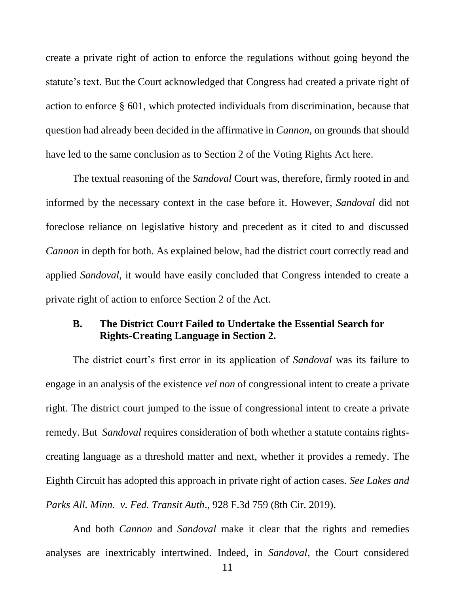create a private right of action to enforce the regulations without going beyond the statute's text. But the Court acknowledged that Congress had created a private right of action to enforce § 601, which protected individuals from discrimination, because that question had already been decided in the affirmative in *Cannon*, on grounds that should have led to the same conclusion as to Section 2 of the Voting Rights Act here.

The textual reasoning of the *Sandoval* Court was, therefore, firmly rooted in and informed by the necessary context in the case before it. However, *Sandoval* did not foreclose reliance on legislative history and precedent as it cited to and discussed *Cannon* in depth for both. As explained below, had the district court correctly read and applied *Sandoval*, it would have easily concluded that Congress intended to create a private right of action to enforce Section 2 of the Act.

## <span id="page-16-0"></span>**B. The District Court Failed to Undertake the Essential Search for Rights-Creating Language in Section 2.**

The district court's first error in its application of *Sandoval* was its failure to engage in an analysis of the existence *vel non* of congressional intent to create a private right. The district court jumped to the issue of congressional intent to create a private remedy. But *Sandoval* requires consideration of both whether a statute contains rightscreating language as a threshold matter and next, whether it provides a remedy. The Eighth Circuit has adopted this approach in private right of action cases. *See Lakes and Parks All. Minn. v. Fed. Transit Auth*., 928 F.3d 759 (8th Cir. 2019).

<span id="page-16-1"></span>And both *Cannon* and *Sandoval* make it clear that the rights and remedies analyses are inextricably intertwined. Indeed, in *Sandoval*, the Court considered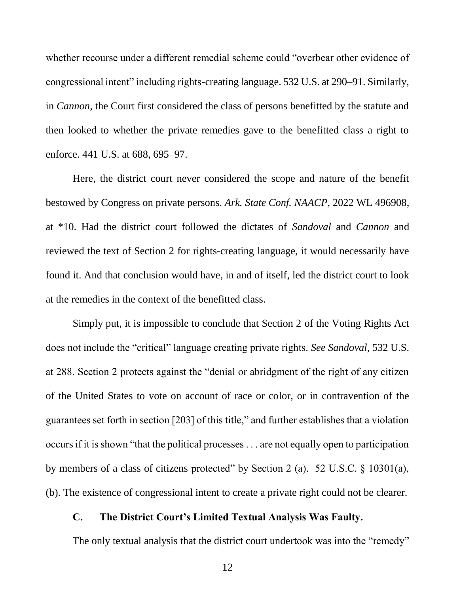whether recourse under a different remedial scheme could "overbear other evidence of congressional intent" including rights-creating language. 532 U.S. at 290–91. Similarly, in *Cannon*, the Court first considered the class of persons benefitted by the statute and then looked to whether the private remedies gave to the benefitted class a right to enforce. 441 U.S. at 688, 695–97.

Here, the district court never considered the scope and nature of the benefit bestowed by Congress on private persons. *Ark. State Conf. NAACP*, 2022 WL 496908, at \*10. Had the district court followed the dictates of *Sandoval* and *Cannon* and reviewed the text of Section 2 for rights-creating language, it would necessarily have found it. And that conclusion would have, in and of itself, led the district court to look at the remedies in the context of the benefitted class.

Simply put, it is impossible to conclude that Section 2 of the Voting Rights Act does not include the "critical" language creating private rights. *See Sandoval*, 532 U.S. at 288. Section 2 protects against the "denial or abridgment of the right of any citizen of the United States to vote on account of race or color, or in contravention of the guarantees set forth in section [203] of this title," and further establishes that a violation occurs if it is shown "that the political processes . . . are not equally open to participation by members of a class of citizens protected" by Section 2 (a). 52 U.S.C. § 10301(a), (b). The existence of congressional intent to create a private right could not be clearer.

#### <span id="page-17-1"></span><span id="page-17-0"></span>**C. The District Court's Limited Textual Analysis Was Faulty.**

The only textual analysis that the district court undertook was into the "remedy"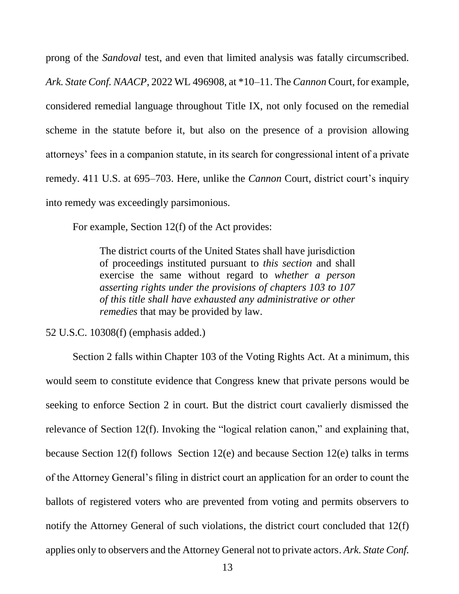prong of the *Sandoval* test, and even that limited analysis was fatally circumscribed. *Ark. State Conf. NAACP*, 2022 WL 496908, at \*10–11. The *Cannon* Court, for example, considered remedial language throughout Title IX, not only focused on the remedial scheme in the statute before it, but also on the presence of a provision allowing attorneys' fees in a companion statute, in its search for congressional intent of a private remedy. 411 U.S. at 695–703. Here, unlike the *Cannon* Court, district court's inquiry into remedy was exceedingly parsimonious.

For example, Section 12(f) of the Act provides:

The district courts of the United States shall have jurisdiction of proceedings instituted pursuant to *this section* and shall exercise the same without regard to *whether a person asserting rights under the provisions of chapters 103 to 107 of this title shall have exhausted any administrative or other remedies* that may be provided by law.

<span id="page-18-0"></span>52 U.S.C. 10308(f) (emphasis added.)

<span id="page-18-1"></span>Section 2 falls within Chapter 103 of the Voting Rights Act. At a minimum, this would seem to constitute evidence that Congress knew that private persons would be seeking to enforce Section 2 in court. But the district court cavalierly dismissed the relevance of Section 12(f). Invoking the "logical relation canon," and explaining that, because Section 12(f) follows Section 12(e) and because Section 12(e) talks in terms of the Attorney General's filing in district court an application for an order to count the ballots of registered voters who are prevented from voting and permits observers to notify the Attorney General of such violations, the district court concluded that 12(f) applies only to observers and the Attorney General not to private actors. *Ark. State Conf.*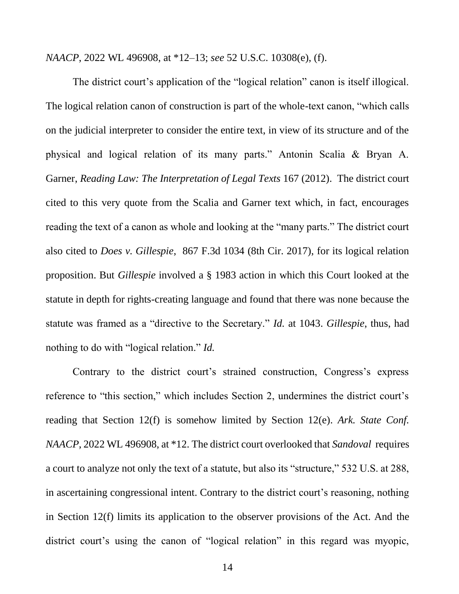<span id="page-19-1"></span>*NAACP*, 2022 WL 496908, at \*12–13; *see* 52 U.S.C. 10308(e), (f).

<span id="page-19-3"></span>The district court's application of the "logical relation" canon is itself illogical. The logical relation canon of construction is part of the whole-text canon, "which calls on the judicial interpreter to consider the entire text, in view of its structure and of the physical and logical relation of its many parts." Antonin Scalia & Bryan A. Garner, *Reading Law: The Interpretation of Legal Texts* 167 (2012). The district court cited to this very quote from the Scalia and Garner text which, in fact, encourages reading the text of a canon as whole and looking at the "many parts." The district court also cited to *Does v. Gillespie*, 867 F.3d 1034 (8th Cir. 2017), for its logical relation proposition. But *Gillespie* involved a § 1983 action in which this Court looked at the statute in depth for rights-creating language and found that there was none because the statute was framed as a "directive to the Secretary." *Id.* at 1043. *Gillespie*, thus, had nothing to do with "logical relation." *Id.*

<span id="page-19-2"></span><span id="page-19-0"></span>Contrary to the district court's strained construction, Congress's express reference to "this section," which includes Section 2, undermines the district court's reading that Section 12(f) is somehow limited by Section 12(e). *Ark. State Conf. NAACP*, 2022 WL 496908, at \*12. The district court overlooked that *Sandoval* requires a court to analyze not only the text of a statute, but also its "structure," 532 U.S. at 288, in ascertaining congressional intent. Contrary to the district court's reasoning, nothing in Section 12(f) limits its application to the observer provisions of the Act. And the district court's using the canon of "logical relation" in this regard was myopic,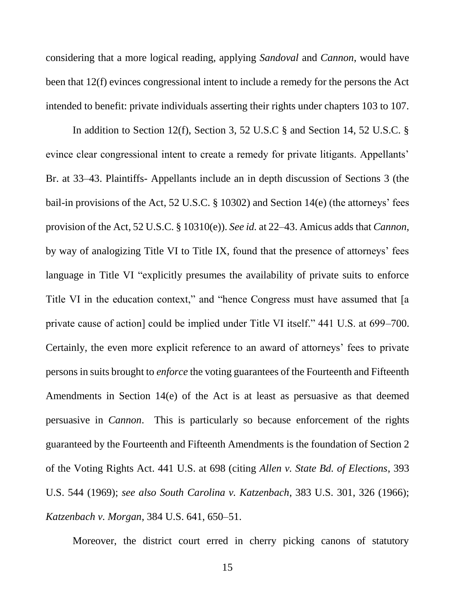considering that a more logical reading, applying *Sandoval* and *Cannon*, would have been that 12(f) evinces congressional intent to include a remedy for the persons the Act intended to benefit: private individuals asserting their rights under chapters 103 to 107.

In addition to Section 12(f), Section 3, 52 U.S.C § and Section 14, 52 U.S.C. § evince clear congressional intent to create a remedy for private litigants. Appellants' Br. at 33–43. Plaintiffs- Appellants include an in depth discussion of Sections 3 (the bail-in provisions of the Act, 52 U.S.C. § 10302) and Section 14(e) (the attorneys' fees provision of the Act, 52 U.S.C. § 10310(e)). *See id.* at 22–43. Amicus adds that *Cannon*, by way of analogizing Title VI to Title IX, found that the presence of attorneys' fees language in Title VI "explicitly presumes the availability of private suits to enforce Title VI in the education context," and "hence Congress must have assumed that [a private cause of action] could be implied under Title VI itself." 441 U.S. at 699–700. Certainly, the even more explicit reference to an award of attorneys' fees to private persons in suits brought to *enforce* the voting guarantees of the Fourteenth and Fifteenth Amendments in Section 14(e) of the Act is at least as persuasive as that deemed persuasive in *Cannon*. This is particularly so because enforcement of the rights guaranteed by the Fourteenth and Fifteenth Amendments is the foundation of Section 2 of the Voting Rights Act. 441 U.S. at 698 (citing *Allen v. State Bd. of Elections*, 393 U.S. 544 (1969); *see also South Carolina v. Katzenbach*, 383 U.S. 301, 326 (1966); *Katzenbach v. Morgan*, 384 U.S. 641, 650–51.

<span id="page-20-1"></span><span id="page-20-0"></span>Moreover, the district court erred in cherry picking canons of statutory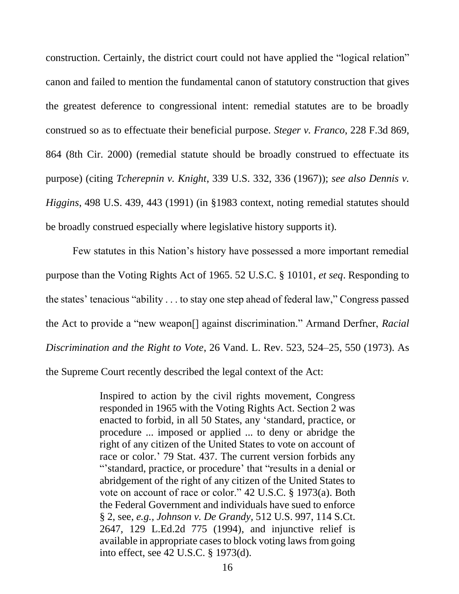<span id="page-21-0"></span>construction. Certainly, the district court could not have applied the "logical relation" canon and failed to mention the fundamental canon of statutory construction that gives the greatest deference to congressional intent: remedial statutes are to be broadly construed so as to effectuate their beneficial purpose. *Steger v. Franco*, 228 F.3d 869, 864 (8th Cir. 2000) (remedial statute should be broadly construed to effectuate its purpose) (citing *Tcherepnin v. Knight*, 339 U.S. 332, 336 (1967)); *see also Dennis v. Higgins*, 498 U.S. 439, 443 (1991) (in §1983 context, noting remedial statutes should be broadly construed especially where legislative history supports it).

Few statutes in this Nation's history have possessed a more important remedial purpose than the Voting Rights Act of 1965. 52 U.S.C. § 10101, *et seq*. Responding to the states' tenacious "ability . . . to stay one step ahead of federal law," Congress passed the Act to provide a "new weapon[] against discrimination." Armand Derfner, *Racial Discrimination and the Right to Vote*, 26 Vand. L. Rev. 523, 524–25, 550 (1973). As the Supreme Court recently described the legal context of the Act:

> <span id="page-21-2"></span><span id="page-21-1"></span>Inspired to action by the civil rights movement, Congress responded in 1965 with the Voting Rights Act. Section 2 was enacted to forbid, in all 50 States, any 'standard, practice, or procedure ... imposed or applied ... to deny or abridge the right of any citizen of the United States to vote on account of race or color.' 79 Stat. 437. The current version forbids any "'standard, practice, or procedure' that "results in a denial or abridgement of the right of any citizen of the United States to vote on account of race or color." [42 U.S.C. § 1973\(a\).](https://1.next.westlaw.com/Link/Document/FullText?findType=L&pubNum=1000546&cite=42USCAS1973&originatingDoc=I7eb2bb3add9e11e28503bda794601919&refType=LQ&originationContext=document&transitionType=DocumentItem&ppcid=f9cc501e850743c682eda87a00debfc0&contextData=(sc.Search)) Both the Federal Government and individuals have sued to enforce § 2, see, *e.g., Johnson v. De Grandy,* [512 U.S. 997, 114 S.Ct.](https://1.next.westlaw.com/Link/Document/FullText?findType=Y&serNum=1994139814&pubNum=0000708&originatingDoc=I7eb2bb3add9e11e28503bda794601919&refType=RP&originationContext=document&transitionType=DocumentItem&ppcid=f9cc501e850743c682eda87a00debfc0&contextData=(sc.Search))  [2647, 129 L.Ed.2d 775 \(1994\),](https://1.next.westlaw.com/Link/Document/FullText?findType=Y&serNum=1994139814&pubNum=0000708&originatingDoc=I7eb2bb3add9e11e28503bda794601919&refType=RP&originationContext=document&transitionType=DocumentItem&ppcid=f9cc501e850743c682eda87a00debfc0&contextData=(sc.Search)) and injunctive relief is available in appropriate cases to block voting laws from going into effect, see [42 U.S.C. § 1973\(d\).](https://1.next.westlaw.com/Link/Document/FullText?findType=L&pubNum=1000546&cite=42USCAS1973J&originatingDoc=I7eb2bb3add9e11e28503bda794601919&refType=LQ&originationContext=document&transitionType=DocumentItem&ppcid=f9cc501e850743c682eda87a00debfc0&contextData=(sc.Search))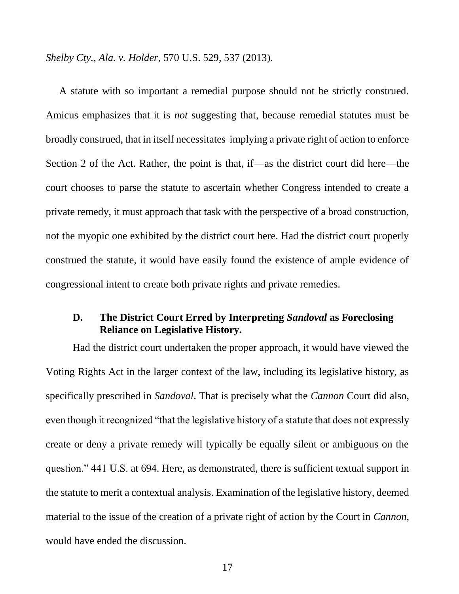*Shelby Cty., Ala. v. Holder*, 570 U.S. 529, 537 (2013).

A statute with so important a remedial purpose should not be strictly construed. Amicus emphasizes that it is *not* suggesting that, because remedial statutes must be broadly construed, that in itself necessitates implying a private right of action to enforce Section 2 of the Act. Rather, the point is that, if—as the district court did here—the court chooses to parse the statute to ascertain whether Congress intended to create a private remedy, it must approach that task with the perspective of a broad construction, not the myopic one exhibited by the district court here. Had the district court properly construed the statute, it would have easily found the existence of ample evidence of congressional intent to create both private rights and private remedies.

## <span id="page-22-0"></span>**D. The District Court Erred by Interpreting** *Sandoval* **as Foreclosing Reliance on Legislative History.**

Had the district court undertaken the proper approach, it would have viewed the Voting Rights Act in the larger context of the law, including its legislative history, as specifically prescribed in *Sandoval*. That is precisely what the *Cannon* Court did also, even though it recognized "that the legislative history of a statute that does not expressly create or deny a private remedy will typically be equally silent or ambiguous on the question." 441 U.S. at 694. Here, as demonstrated, there is sufficient textual support in the statute to merit a contextual analysis. Examination of the legislative history, deemed material to the issue of the creation of a private right of action by the Court in *Cannon*, would have ended the discussion.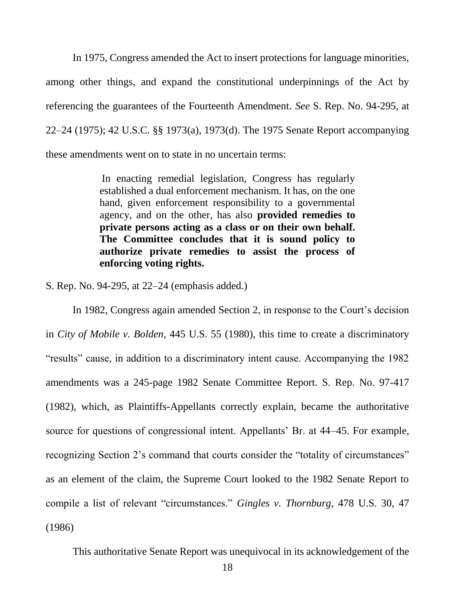In 1975, Congress amended the Act to insert protections for language minorities, among other things, and expand the constitutional underpinnings of the Act by referencing the guarantees of the Fourteenth Amendment. *See* S. Rep. No. 94-295, at 22–24 (1975); 42 U.S.C. §§ 1973(a), 1973(d). The 1975 Senate Report accompanying these amendments went on to state in no uncertain terms:

> <span id="page-23-1"></span><span id="page-23-0"></span>In enacting remedial legislation, Congress has regularly established a dual enforcement mechanism. It has, on the one hand, given enforcement responsibility to a governmental agency, and on the other, has also **provided remedies to private persons acting as a class or on their own behalf. The Committee concludes that it is sound policy to authorize private remedies to assist the process of enforcing voting rights.**

S. Rep. No. 94-295, at 22–24 (emphasis added.)

In 1982, Congress again amended Section 2, in response to the Court's decision in *City of Mobile v. Bolden*, 445 U.S. 55 (1980), this time to create a discriminatory "results" cause, in addition to a discriminatory intent cause. Accompanying the 1982 amendments was a 245-page 1982 Senate Committee Report. S. Rep. No. 97-417 (1982), which, as Plaintiffs-Appellants correctly explain, became the authoritative source for questions of congressional intent. Appellants' Br. at 44–45. For example, recognizing Section 2's command that courts consider the "totality of circumstances" as an element of the claim, the Supreme Court looked to the 1982 Senate Report to compile a list of relevant "circumstances." *Gingles v. Thornburg*, 478 U.S. 30, 47 (1986)

This authoritative Senate Report was unequivocal in its acknowledgement of the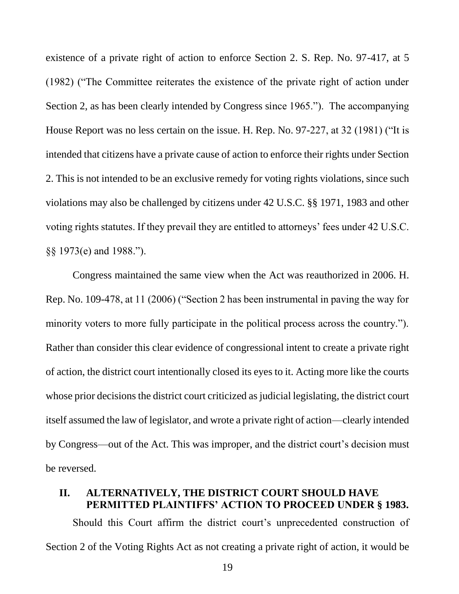existence of a private right of action to enforce Section 2. S. Rep. No. 97-417, at 5 (1982) ("The Committee reiterates the existence of the private right of action under Section 2, as has been clearly intended by Congress since 1965."). The accompanying House Report was no less certain on the issue. H. Rep. No. 97-227, at 32 (1981) ("It is intended that citizens have a private cause of action to enforce their rights under Section 2. This is not intended to be an exclusive remedy for voting rights violations, since such violations may also be challenged by citizens under 42 U.S.C. §§ 1971, 1983 and other voting rights statutes. If they prevail they are entitled to attorneys' fees under 42 U.S.C. §§ 1973(e) and 1988.").

Congress maintained the same view when the Act was reauthorized in 2006. H. Rep. No. 109-478, at 11 (2006) ("Section 2 has been instrumental in paving the way for minority voters to more fully participate in the political process across the country."). Rather than consider this clear evidence of congressional intent to create a private right of action, the district court intentionally closed its eyes to it. Acting more like the courts whose prior decisions the district court criticized as judicial legislating, the district court itself assumed the law of legislator, and wrote a private right of action—clearly intended by Congress—out of the Act. This was improper, and the district court's decision must be reversed.

## <span id="page-24-0"></span>**II. ALTERNATIVELY, THE DISTRICT COURT SHOULD HAVE PERMITTED PLAINTIFFS' ACTION TO PROCEED UNDER § 1983.**

Should this Court affirm the district court's unprecedented construction of Section 2 of the Voting Rights Act as not creating a private right of action, it would be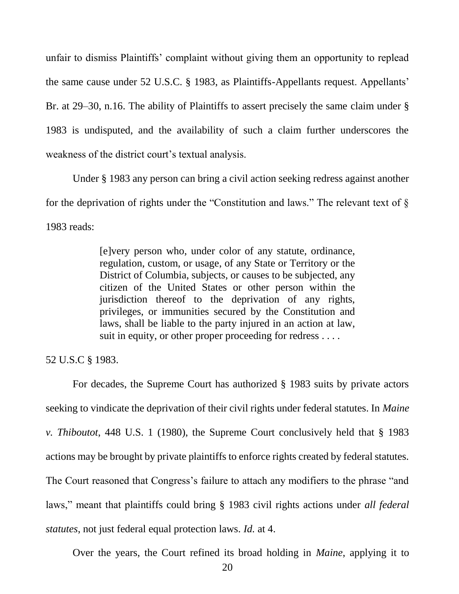unfair to dismiss Plaintiffs' complaint without giving them an opportunity to replead the same cause under 52 U.S.C. § 1983, as Plaintiffs-Appellants request. Appellants' Br. at 29–30, n.16. The ability of Plaintiffs to assert precisely the same claim under § 1983 is undisputed, and the availability of such a claim further underscores the weakness of the district court's textual analysis.

Under § 1983 any person can bring a civil action seeking redress against another for the deprivation of rights under the "Constitution and laws." The relevant text of  $\S$ 1983 reads:

> <span id="page-25-0"></span>[e]very person who, under color of any statute, ordinance, regulation, custom, or usage, of any State or Territory or the District of Columbia, subjects, or causes to be subjected, any citizen of the United States or other person within the jurisdiction thereof to the deprivation of any rights, privileges, or immunities secured by the Constitution and laws, shall be liable to the party injured in an action at law, suit in equity, or other proper proceeding for redress . . . .

52 U.S.C § 1983.

For decades, the Supreme Court has authorized § 1983 suits by private actors seeking to vindicate the deprivation of their civil rights under federal statutes. In *Maine v. Thiboutot*, 448 U.S. 1 (1980), the Supreme Court conclusively held that § 1983 actions may be brought by private plaintiffs to enforce rights created by federal statutes. The Court reasoned that Congress's failure to attach any modifiers to the phrase "and laws," meant that plaintiffs could bring § 1983 civil rights actions under *all federal statutes*, not just federal equal protection laws. *Id.* at 4.

Over the years, the Court refined its broad holding in *Maine*, applying it to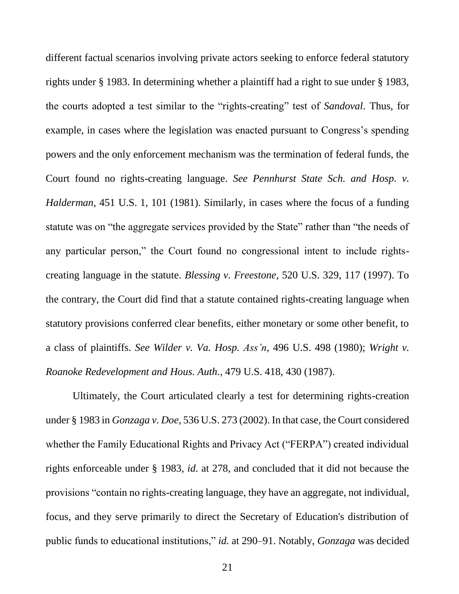<span id="page-26-2"></span>different factual scenarios involving private actors seeking to enforce federal statutory rights under § 1983. In determining whether a plaintiff had a right to sue under § 1983, the courts adopted a test similar to the "rights-creating" test of *Sandoval*. Thus, for example, in cases where the legislation was enacted pursuant to Congress's spending powers and the only enforcement mechanism was the termination of federal funds, the Court found no rights-creating language. *See Pennhurst State Sch. and Hosp. v. Halderman*, 451 U.S. 1, 101 (1981). Similarly, in cases where the focus of a funding statute was on "the aggregate services provided by the State" rather than "the needs of any particular person," the Court found no congressional intent to include rightscreating language in the statute. *Blessing v. Freestone*, 520 U.S. 329, 117 (1997). To the contrary, the Court did find that a statute contained rights-creating language when statutory provisions conferred clear benefits, either monetary or some other benefit, to a class of plaintiffs. *See Wilder v. Va. Hosp. Ass'n*, 496 U.S. 498 (1980); *Wright v. Roanoke Redevelopment and Hous. Auth.*, 479 U.S. 418, 430 (1987).

<span id="page-26-4"></span><span id="page-26-3"></span><span id="page-26-1"></span><span id="page-26-0"></span>Ultimately, the Court articulated clearly a test for determining rights-creation under § 1983 in *Gonzaga v. Doe*, 536 U.S. 273 (2002). In that case, the Court considered whether the Family Educational Rights and Privacy Act ("FERPA") created individual rights enforceable under § 1983, *id.* at 278, and concluded that it did not because the provisions "contain no rights-creating language, they have an aggregate, not individual, focus, and they serve primarily to direct the Secretary of Education's distribution of public funds to educational institutions," *id.* at 290–91. Notably, *Gonzaga* was decided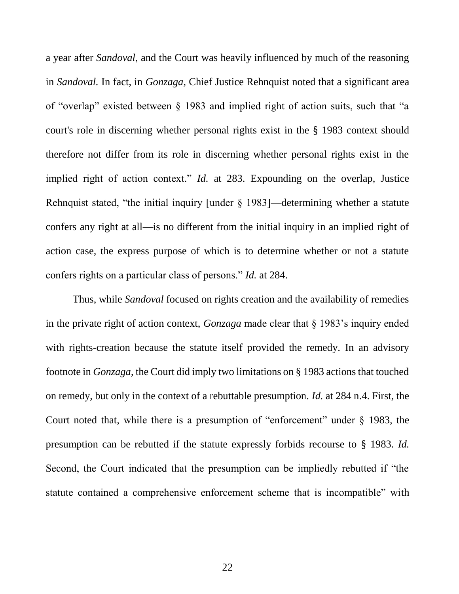a year after *Sandoval*, and the Court was heavily influenced by much of the reasoning in *Sandoval.* In fact, in *Gonzaga*, Chief Justice Rehnquist noted that a significant area of "overlap" existed between § 1983 and implied right of action suits, such that "a court's role in discerning whether personal rights exist in the § 1983 context should therefore not differ from its role in discerning whether personal rights exist in the implied right of action context." *Id.* at 283. Expounding on the overlap, Justice Rehnquist stated, "the initial inquiry [under § 1983]—determining whether a statute confers any right at all—is no different from the initial inquiry in an implied right of action case, the express purpose of which is to determine whether or not a statute confers rights on a particular class of persons." *Id.* at 284.

Thus, while *Sandoval* focused on rights creation and the availability of remedies in the private right of action context, *Gonzaga* made clear that § 1983's inquiry ended with rights-creation because the statute itself provided the remedy. In an advisory footnote in *Gonzaga*, the Court did imply two limitations on § 1983 actions that touched on remedy, but only in the context of a rebuttable presumption. *Id.* at 284 n.4. First, the Court noted that, while there is a presumption of "enforcement" under § 1983, the presumption can be rebutted if the statute expressly forbids recourse to § 1983. *Id.* Second, the Court indicated that the presumption can be impliedly rebutted if "the statute contained a comprehensive enforcement scheme that is incompatible" with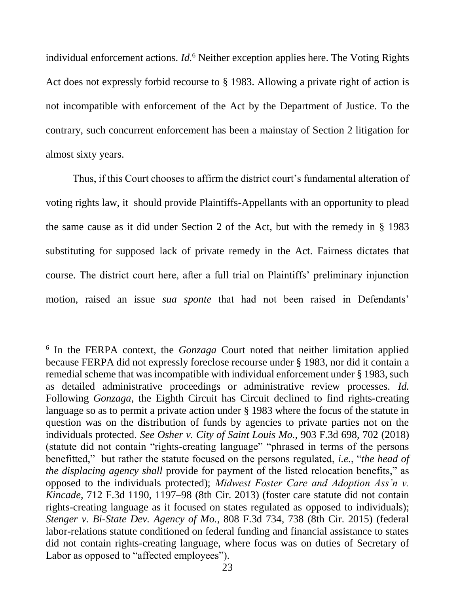individual enforcement actions. *Id.*<sup>6</sup> Neither exception applies here. The Voting Rights Act does not expressly forbid recourse to § 1983. Allowing a private right of action is not incompatible with enforcement of the Act by the Department of Justice. To the contrary, such concurrent enforcement has been a mainstay of Section 2 litigation for almost sixty years.

Thus, if this Court chooses to affirm the district court's fundamental alteration of voting rights law, it should provide Plaintiffs-Appellants with an opportunity to plead the same cause as it did under Section 2 of the Act, but with the remedy in § 1983 substituting for supposed lack of private remedy in the Act. Fairness dictates that course. The district court here, after a full trial on Plaintiffs' preliminary injunction motion, raised an issue *sua sponte* that had not been raised in Defendants'

l

<span id="page-28-2"></span><span id="page-28-1"></span><span id="page-28-0"></span><sup>6</sup> In the FERPA context, the *Gonzaga* Court noted that neither limitation applied because FERPA did not expressly foreclose recourse under § 1983, nor did it contain a remedial scheme that was incompatible with individual enforcement under § 1983, such as detailed administrative proceedings or administrative review processes. *Id.* Following *Gonzaga*, the Eighth Circuit has Circuit declined to find rights-creating language so as to permit a private action under § 1983 where the focus of the statute in question was on the distribution of funds by agencies to private parties not on the individuals protected. *See Osher v. City of Saint Louis Mo.*, 903 F.3d 698, 702 (2018) (statute did not contain "rights-creating language" "phrased in terms of the persons benefitted," but rather the statute focused on the persons regulated, *i.e.*, "*the head of the displacing agency shall* provide for payment of the listed relocation benefits," as opposed to the individuals protected); *Midwest Foster Care and Adoption Ass'n v. Kincade*, 712 F.3d 1190, 1197–98 (8th Cir. 2013) (foster care statute did not contain rights-creating language as it focused on states regulated as opposed to individuals); *Stenger v. Bi-State Dev. Agency of Mo.*, 808 F.3d 734, 738 (8th Cir. 2015) (federal labor-relations statute conditioned on federal funding and financial assistance to states did not contain rights-creating language, where focus was on duties of Secretary of Labor as opposed to "affected employees").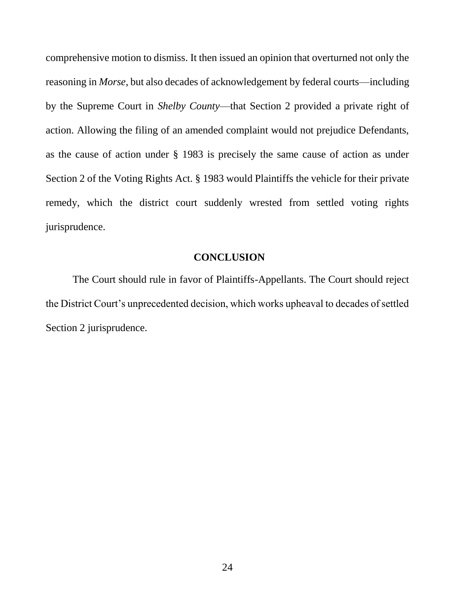comprehensive motion to dismiss. It then issued an opinion that overturned not only the reasoning in *Morse*, but also decades of acknowledgement by federal courts—including by the Supreme Court in *Shelby County*—that Section 2 provided a private right of action. Allowing the filing of an amended complaint would not prejudice Defendants, as the cause of action under § 1983 is precisely the same cause of action as under Section 2 of the Voting Rights Act. § 1983 would Plaintiffs the vehicle for their private remedy, which the district court suddenly wrested from settled voting rights jurisprudence.

### **CONCLUSION**

<span id="page-29-0"></span>The Court should rule in favor of Plaintiffs-Appellants. The Court should reject the District Court's unprecedented decision, which works upheaval to decades of settled Section 2 jurisprudence.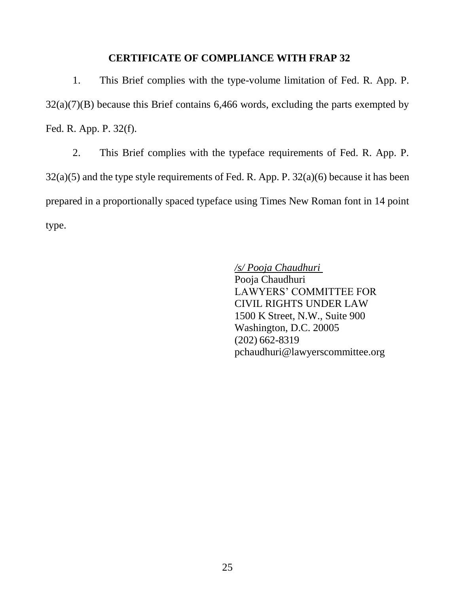#### **CERTIFICATE OF COMPLIANCE WITH FRAP 32**

<span id="page-30-0"></span>1. This Brief complies with the type-volume limitation of Fed. R. App. P.  $32(a)(7)(B)$  because this Brief contains 6,466 words, excluding the parts exempted by Fed. R. App. P. 32(f).

2. This Brief complies with the typeface requirements of Fed. R. App. P.  $32(a)(5)$  and the type style requirements of Fed. R. App. P.  $32(a)(6)$  because it has been prepared in a proportionally spaced typeface using Times New Roman font in 14 point type.

> */s/ Pooja Chaudhuri*  Pooja Chaudhuri LAWYERS' COMMITTEE FOR CIVIL RIGHTS UNDER LAW 1500 K Street, N.W., Suite 900 Washington, D.C. 20005 (202) 662-8319 pchaudhuri@lawyerscommittee.org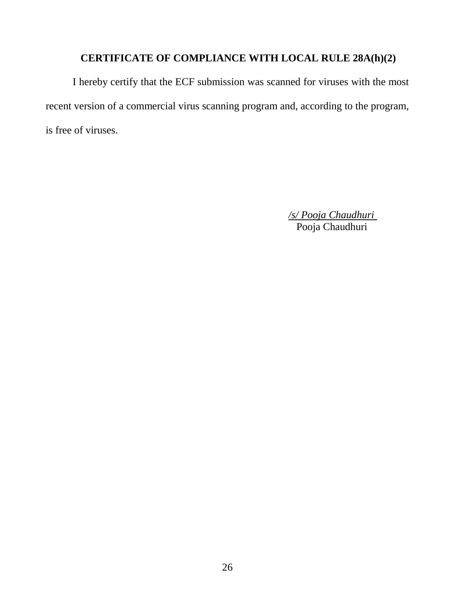## **CERTIFICATE OF COMPLIANCE WITH LOCAL RULE 28A(h)(2)**

<span id="page-31-0"></span>I hereby certify that the ECF submission was scanned for viruses with the most recent version of a commercial virus scanning program and, according to the program, is free of viruses.

> */s/ Pooja Chaudhuri*  Pooja Chaudhuri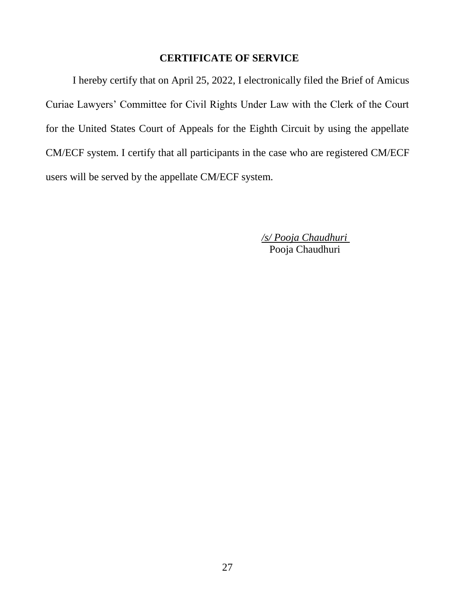#### **CERTIFICATE OF SERVICE**

<span id="page-32-0"></span>I hereby certify that on April 25, 2022, I electronically filed the Brief of Amicus Curiae Lawyers' Committee for Civil Rights Under Law with the Clerk of the Court for the United States Court of Appeals for the Eighth Circuit by using the appellate CM/ECF system. I certify that all participants in the case who are registered CM/ECF users will be served by the appellate CM/ECF system.

> */s/ Pooja Chaudhuri*  Pooja Chaudhuri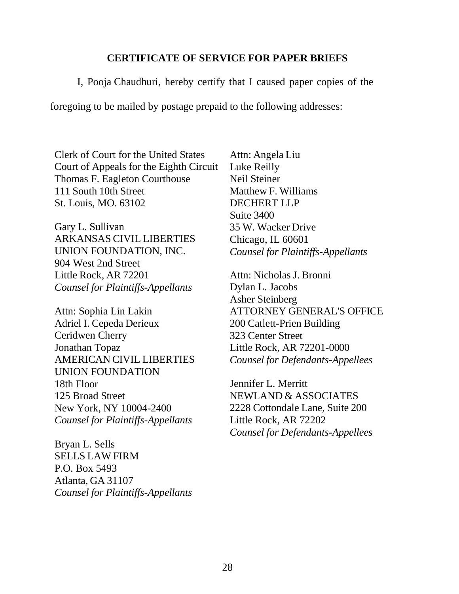#### **CERTIFICATE OF SERVICE FOR PAPER BRIEFS**

I, Pooja Chaudhuri, hereby certify that I caused paper copies of the

foregoing to be mailed by postage prepaid to the following addresses:

Clerk of Court for the United States Court of Appeals for the Eighth Circuit Thomas F. Eagleton Courthouse 111 South 10th Street St. Louis, MO. 63102

Gary L. Sullivan ARKANSAS CIVIL LIBERTIES UNION FOUNDATION, INC. 904 West 2nd Street Little Rock, AR 72201 *Counsel for Plaintiffs-Appellants*

Attn: Sophia Lin Lakin Adriel I. Cepeda Derieux Ceridwen Cherry Jonathan Topaz AMERICAN CIVIL LIBERTIES UNION FOUNDATION 18th Floor 125 Broad Street New York, NY 10004-2400 *Counsel for Plaintiffs-Appellants*

Bryan L. Sells SELLS LAW FIRM P.O. Box 5493 Atlanta, GA 31107 *Counsel for Plaintiffs-Appellants* Attn: Angela Liu Luke Reilly Neil Steiner Matthew F. Williams DECHERT LLP Suite 3400 35 W. Wacker Drive Chicago, IL 60601 *Counsel for Plaintiffs-Appellants*

Attn: Nicholas J. Bronni Dylan L. Jacobs Asher Steinberg ATTORNEY GENERAL'S OFFICE 200 Catlett-Prien Building 323 Center Street Little Rock, AR 72201-0000 *Counsel for Defendants-Appellees*

Jennifer L. Merritt NEWLAND & ASSOCIATES 2228 Cottondale Lane, Suite 200 Little Rock, AR 72202 *Counsel for Defendants-Appellees*